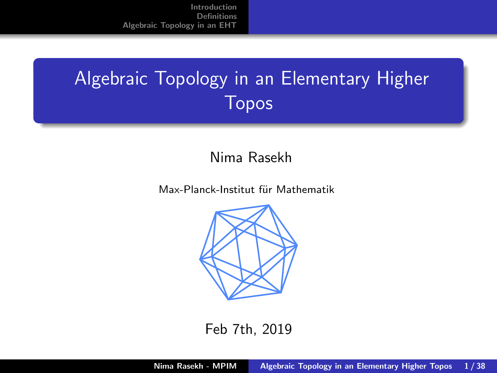# <span id="page-0-0"></span>Algebraic Topology in an Elementary Higher Topos

### Nima Rasekh

Max-Planck-Institut für Mathematik



Feb 7th, 2019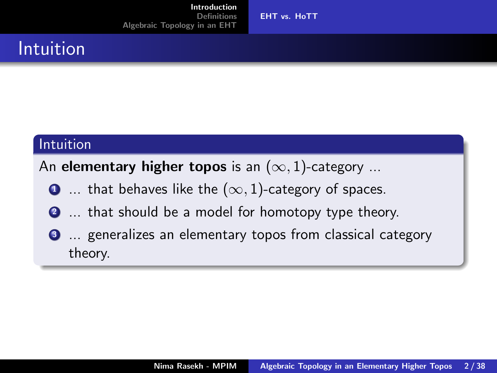## <span id="page-1-0"></span>Intuition

### Intuition

An elementary higher topos is an  $(\infty, 1)$ -category ...

- $\bullet$  ... that behaves like the  $(\infty, 1)$ -category of spaces.
- <sup>2</sup> ... that should be a model for homotopy type theory.
- **3** ... generalizes an elementary topos from classical category theory.

[EHT vs. HoTT](#page-1-0)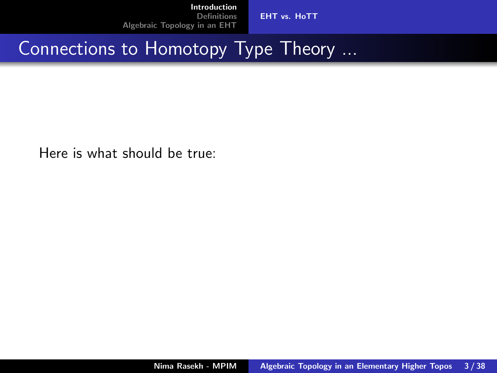[EHT vs. HoTT](#page-1-0)

## Connections to Homotopy Type Theory ...

Here is what should be true: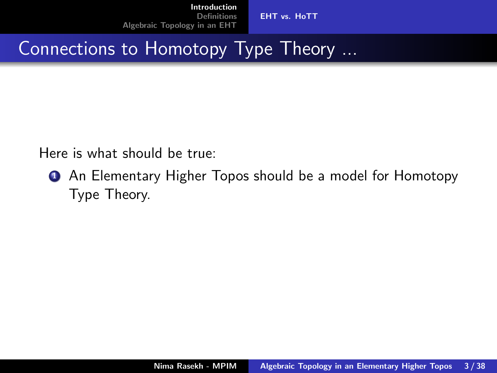[EHT vs. HoTT](#page-1-0)

## Connections to Homotopy Type Theory ...

Here is what should be true:

**1** An Elementary Higher Topos should be a model for Homotopy Type Theory.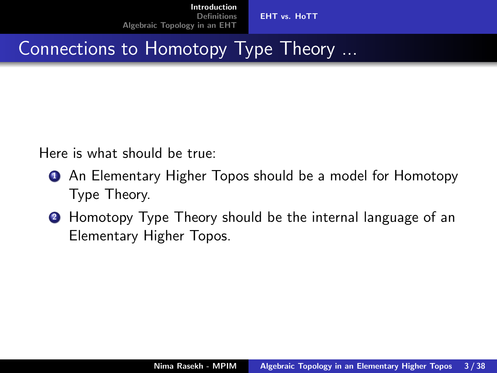[EHT vs. HoTT](#page-1-0)

## Connections to Homotopy Type Theory ...

Here is what should be true:

- **1** An Elementary Higher Topos should be a model for Homotopy Type Theory.
- <sup>2</sup> Homotopy Type Theory should be the internal language of an Elementary Higher Topos.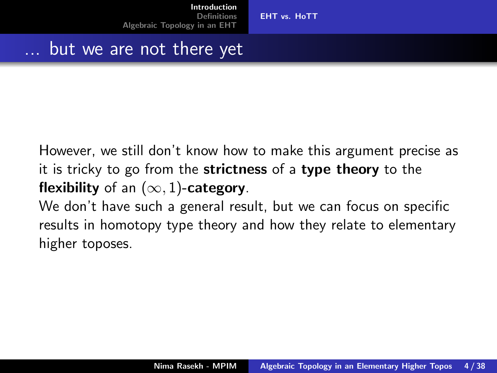[EHT vs. HoTT](#page-1-0)

### but we are not there yet

However, we still don't know how to make this argument precise as it is tricky to go from the strictness of a type theory to the flexibility of an  $(\infty, 1)$ -category.

We don't have such a general result, but we can focus on specific results in homotopy type theory and how they relate to elementary higher toposes.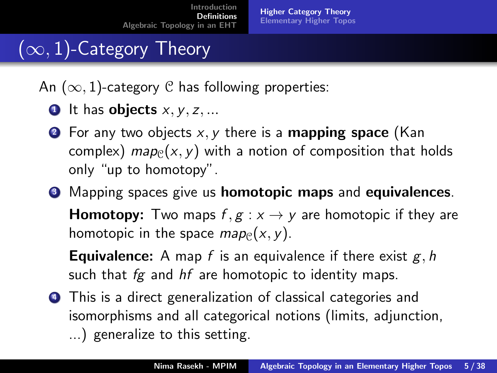# <span id="page-6-0"></span> $(\infty, 1)$ -Category Theory

An  $(\infty, 1)$ -category C has following properties:

- $\bullet$  It has objects  $x, y, z, ...$
- **2** For any two objects  $x, y$  there is a **mapping space** (Kan complex) map<sub>C</sub>(x, y) with a notion of composition that holds only "up to homotopy".
- <sup>3</sup> Mapping spaces give us **homotopic maps** and **equivalences**.

**Homotopy:** Two maps  $f, g: x \rightarrow y$  are homotopic if they are homotopic in the space  $map_{\mathcal{C}}(x, y)$ .

**Equivalence:** A map f is an equivalence if there exist  $g, h$ such that  $fg$  and  $hf$  are homotopic to identity maps.

<sup>4</sup> This is a direct generalization of classical categories and isomorphisms and all categorical notions (limits, adjunction, ...) generalize to this setting.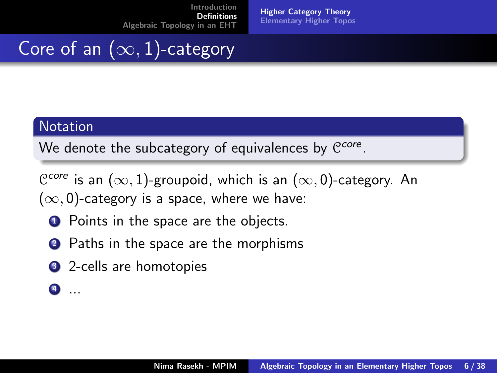[Higher Category Theory](#page-6-0) [Elementary Higher Topos](#page-9-0)

# Core of an  $(\infty, 1)$ -category

### **Notation**

We denote the subcategory of equivalences by  $C^{core}$ .

 $e^{core}$ is an  $(\infty, 1)$ -groupoid, which is an  $(\infty, 0)$ -category. An  $(\infty, 0)$ -category is a space, where we have:

- **1** Points in the space are the objects.
- 2 Paths in the space are the morphisms
- **3** 2-cells are homotopies
- $\bullet$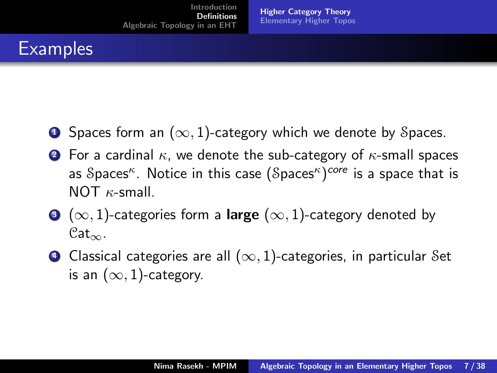# **Examples**

- **1** Spaces form an  $(\infty, 1)$ -category which we denote by Spaces.
- **2** For a cardinal  $\kappa$ , we denote the sub-category of  $\kappa$ -small spaces as  $\mathcal S$ paces $^\kappa$ . Notice in this case  $(\mathcal S$ paces $^\kappa)^\mathsf{core}$  is a space that is  $NOT$   $\kappa$ -small.
- $\bullet$  ( $\infty$ , 1)-categories form a large ( $\infty$ , 1)-category denoted by  $Cat_{\infty}$ .
- $\bullet$  Classical categories are all  $(\infty, 1)$ -categories, in particular Set is an  $(\infty, 1)$ -category.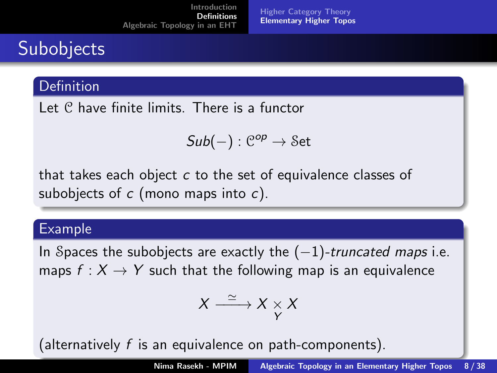# <span id="page-9-0"></span>**Subobjects**

### **Definition**

Let C have finite limits. There is a functor

$$
\mathit{Sub}(-): \mathcal{C}^{op} \to \mathcal{S}et
$$

that takes each object  $c$  to the set of equivalence classes of subobjects of  $c$  (mono maps into  $c$ ).

### Example

In Spaces the subobjects are exactly the  $(-1)$ -truncated maps i.e. maps  $f: X \to Y$  such that the following map is an equivalence

$$
X \xrightarrow{\simeq} X \underset{Y}{\times} X
$$

(alternatively f is an equivalence on path-components).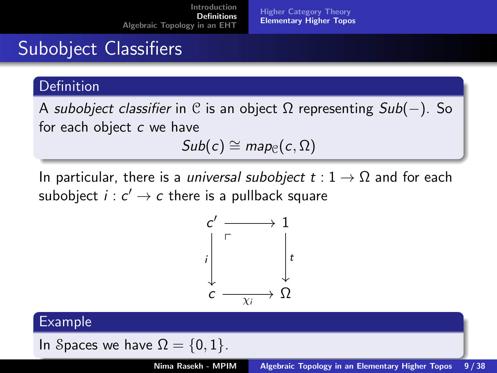# Subobject Classifiers

### **Definition**

A subobject classifier in C is an object  $\Omega$  representing  $Sub(-)$ . So for each object  $c$  we have

$$
Sub(c) \cong map_{\mathcal{C}}(c,\Omega)
$$

In particular, there is a *universal subobject*  $t: 1 \rightarrow \Omega$  and for each subobject  $i : c' \to c$  there is a pullback square



#### Example

In Spaces we have 
$$
\Omega = \{0,1\}.
$$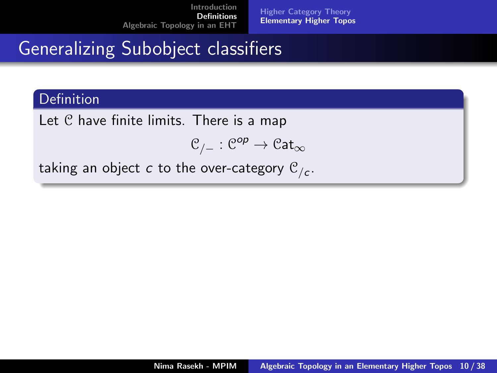# Generalizing Subobject classifiers

### **Definition**

Let C have finite limits. There is a map

$$
\mathcal{C}_{/-}:\mathcal{C}^{op}\to \mathfrak{Cat}_{\infty}
$$

taking an object  $c$  to the over-category  $\mathfrak{C}_{/c}.$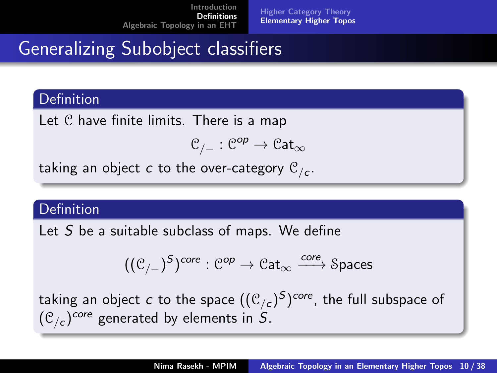# Generalizing Subobject classifiers

### Definition

Let C have finite limits. There is a map

$$
\mathcal{C}_{/-}:\mathcal{C}^{op}\to \mathfrak{Cat}_{\infty}
$$

taking an object  $c$  to the over-category  $\mathfrak{C}_{/c}.$ 

### Definition

Let S be a suitable subclass of maps. We define

$$
((\mathcal{C}_{/-})^S)^{\text{core}} : \mathcal{C}^{op} \to \mathcal{C}at_{\infty} \xrightarrow{\text{core}} \text{Spaces}
$$

taking an object  $c$  to the space  $((\mathfrak{C}_{/c})^S)^{core}$ , the full subspace of  $(\mathfrak{C}_{/\mathsf{c}})^{\mathsf{core}}$  generated by elements in  $S.$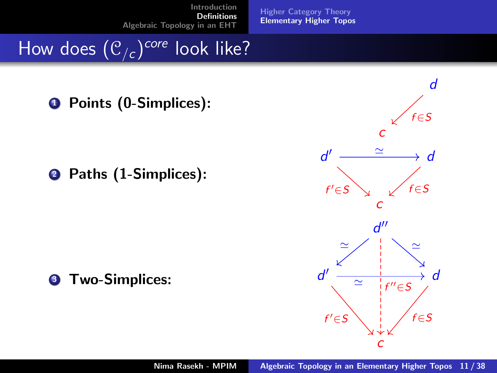[Higher Category Theory](#page-6-0) [Elementary Higher Topos](#page-9-0)

How does  $(\mathfrak{C}_{/\mathsf{c}})^{\mathsf{core}}$  look like?

**Q** Points (0-Simplices):

**2** Paths (1-Simplices):

**3** Two-Simplices:

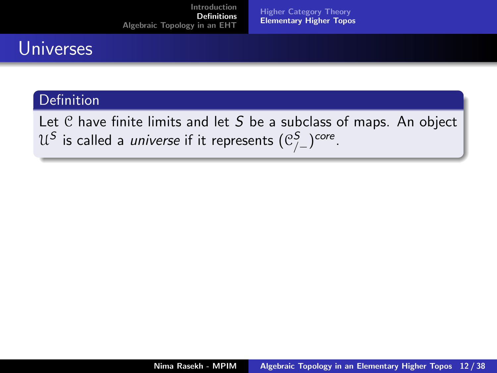[Higher Category Theory](#page-6-0) [Elementary Higher Topos](#page-9-0)

### **Universes**

#### Definition

Let  $C$  have finite limits and let  $S$  be a subclass of maps. An object  $\mathcal{U}^{\mathcal{S}}$  is called a *universe* if it represents  $(\mathfrak{C}^{\mathcal{S}}_{/-})^{core}.$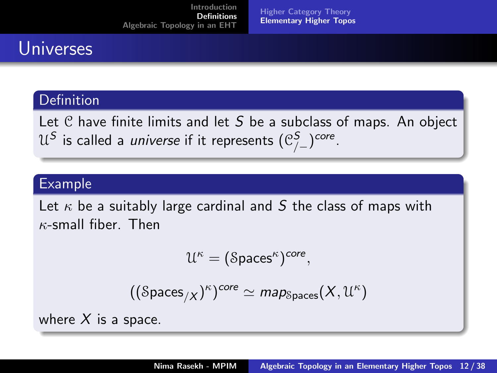[Higher Category Theory](#page-6-0) [Elementary Higher Topos](#page-9-0)

## Universes

### Definition

Let  $C$  have finite limits and let  $S$  be a subclass of maps. An object  $\mathcal{U}^{\mathcal{S}}$  is called a *universe* if it represents  $(\mathfrak{C}^{\mathcal{S}}_{/-})^{core}.$ 

### Example

Let  $\kappa$  be a suitably large cardinal and S the class of maps with  $\kappa$ -small fiber. Then

$$
\mathcal{U}^{\kappa}=(\text{Spaces}^{\kappa})^{core},
$$

$$
((\mathcal{S} \text{paces}_{/X})^{\kappa})^{core} \simeq \text{map}_{\mathcal{S} \text{paces}}(X, \mathcal{U}^{\kappa})
$$

where  $X$  is a space.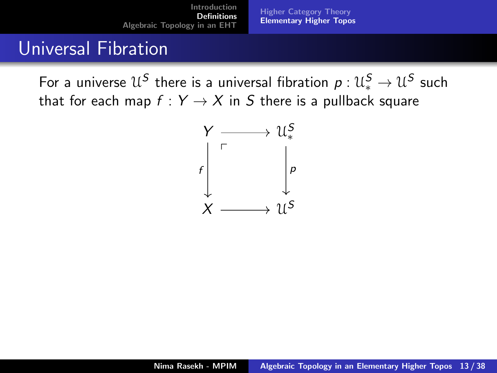[Higher Category Theory](#page-6-0) [Elementary Higher Topos](#page-9-0)

### Universal Fibration

For a universe  $\mathcal{U}^{\mathcal{S}}$  there is a universal fibration  $\rho: \mathcal{U}^{\mathcal{S}}_* \to \mathcal{U}^{\mathcal{S}}$  such that for each map  $f: Y \rightarrow X$  in S there is a pullback square

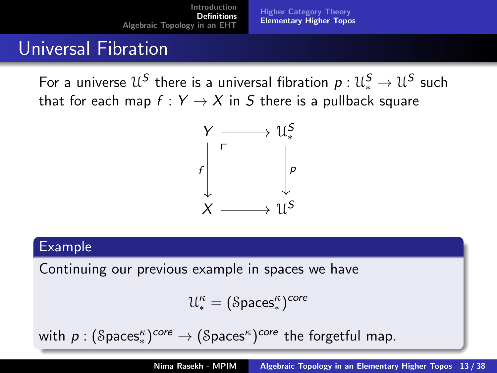[Higher Category Theory](#page-6-0) [Elementary Higher Topos](#page-9-0)

### Universal Fibration

For a universe  $\mathcal{U}^{\mathcal{S}}$  there is a universal fibration  $\rho: \mathcal{U}^{\mathcal{S}}_* \to \mathcal{U}^{\mathcal{S}}$  such that for each map  $f: Y \rightarrow X$  in S there is a pullback square



#### Example

Continuing our previous example in spaces we have

$$
\mathcal{U}^\kappa_*=(\text{Spaces}^\kappa_*)^{core}
$$

with  $\rho: (\mathcal{S} \mathsf{paces}_*^{\kappa})^{core} \to (\mathcal{S} \mathsf{paces}_*^{\kappa})^{core}$  the forgetful map.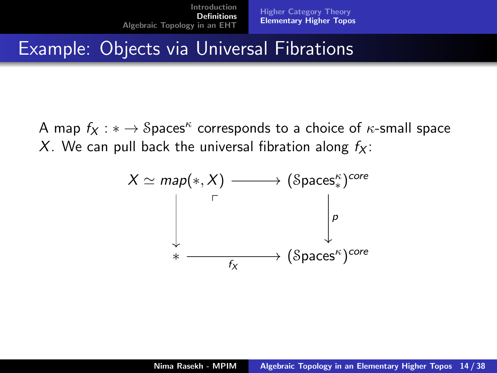## Example: Objects via Universal Fibrations

A map  $f_X: \ast \to \mathcal{S}$ paces $^\kappa$  corresponds to a choice of  $\kappa$ -small space X. We can pull back the universal fibration along  $f_X$ :

$$
X \simeq map(*, X) \longrightarrow (\mathsf{Spaces}_{*}^{\kappa})^{core}
$$
\n
$$
\downarrow \qquad \qquad \downarrow \qquad \qquad \downarrow \qquad \qquad \downarrow
$$
\n
$$
* \longrightarrow (\mathsf{Spaces}_{*}^{\kappa})^{core}
$$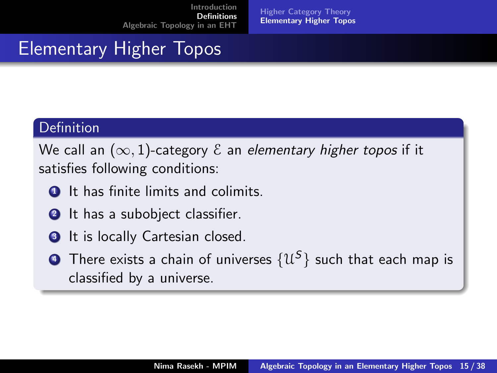[Higher Category Theory](#page-6-0) [Elementary Higher Topos](#page-9-0)

## Elementary Higher Topos

### **Definition**

We call an  $(\infty, 1)$ -category  $\mathcal E$  an elementary higher topos if it satisfies following conditions:

- **1** It has finite limits and colimits.
- **2** It has a subobject classifier.
- **3** It is locally Cartesian closed.
- $\bullet$  There exists a chain of universes  $\{\mathfrak{U}^{\mathcal{S}}\}$  such that each map is classified by a universe.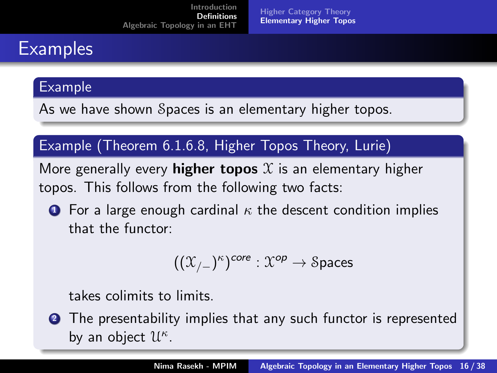# **Examples**

#### Example

As we have shown Spaces is an elementary higher topos.

### Example (Theorem 6.1.6.8, Higher Topos Theory, Lurie)

More generally every **higher topos**  $X$  is an elementary higher topos. This follows from the following two facts:

**1** For a large enough cardinal  $\kappa$  the descent condition implies that the functor:

$$
((\mathfrak{X}_{/-})^{\kappa})^{core}:\mathfrak{X}^{op}\to\mathcal{S} \mathsf{paces}
$$

takes colimits to limits.

**2** The presentability implies that any such functor is represented by an object  $\mathcal{U}^{\kappa}$ .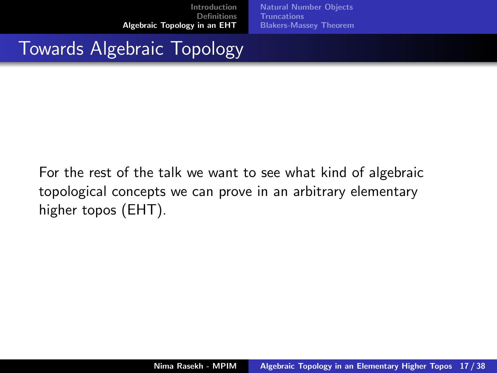[Natural Number Objects](#page-22-0) **[Truncations](#page-32-0)** [Blakers-Massey Theorem](#page-40-0)

## <span id="page-21-0"></span>Towards Algebraic Topology

For the rest of the talk we want to see what kind of algebraic topological concepts we can prove in an arbitrary elementary higher topos (EHT).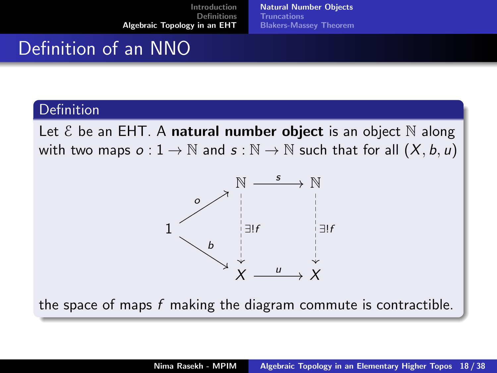## <span id="page-22-0"></span>Definition of an NNO

#### Definition

Let  $\mathcal E$  be an EHT. A natural number object is an object  $\mathbb N$  along with two maps  $o: 1 \to \mathbb{N}$  and  $s: \mathbb{N} \to \mathbb{N}$  such that for all  $(X, b, u)$ 



the space of maps  $f$  making the diagram commute is contractible.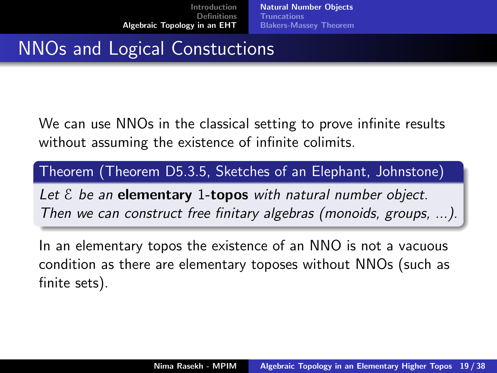[Natural Number Objects](#page-22-0) [Truncations](#page-32-0) [Blakers-Massey Theorem](#page-40-0)

## NNOs and Logical Constuctions

We can use NNOs in the classical setting to prove infinite results without assuming the existence of infinite colimits.

Theorem (Theorem D5.3.5, Sketches of an Elephant, Johnstone)

Let  $\epsilon$  be an **elementary** 1-topos with natural number object. Then we can construct free finitary algebras (monoids, groups, ...).

In an elementary topos the existence of an NNO is not a vacuous condition as there are elementary toposes without NNOs (such as finite sets).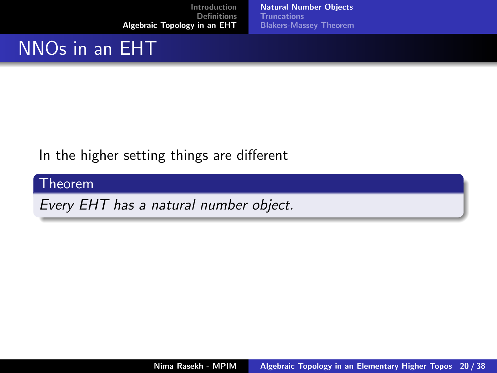[Natural Number Objects](#page-22-0) **[Truncations](#page-32-0)** [Blakers-Massey Theorem](#page-40-0)

## NNOs in an EHT

### In the higher setting things are different

### Theorem

Every EHT has a natural number object.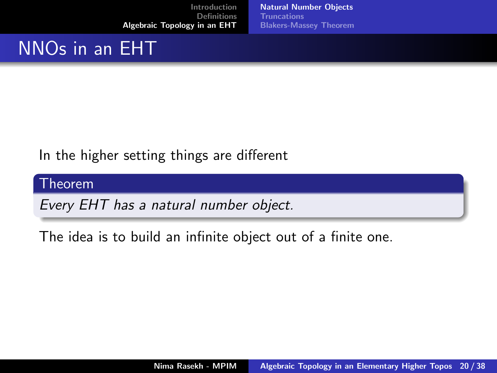[Natural Number Objects](#page-22-0) [Truncations](#page-32-0) [Blakers-Massey Theorem](#page-40-0)

# NNOs in an EHT

### In the higher setting things are different

#### Theorem

Every EHT has a natural number object.

The idea is to build an infinite object out of a finite one.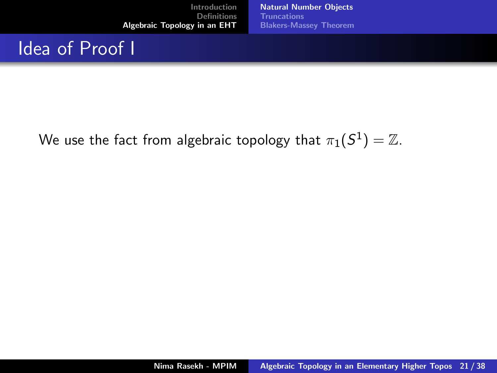[Natural Number Objects](#page-22-0) [Truncations](#page-32-0) [Blakers-Massey Theorem](#page-40-0)

## Idea of Proof I

We use the fact from algebraic topology that  $\pi_1(S^1) = \mathbb{Z}$ .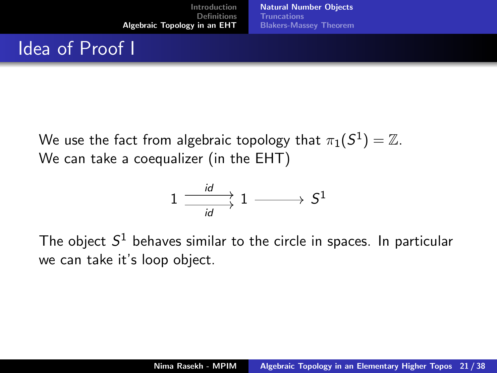# Idea of Proof I

We use the fact from algebraic topology that  $\pi_1(S^1) = \mathbb{Z}$ . We can take a coequalizer (in the EHT)

$$
1\xrightarrow[\mathit{id}]{\mathit{id}}1\xrightarrow{\hspace{1.5cm}}S^1
$$

The object  $S^1$  behaves similar to the circle in spaces. In particular we can take it's loop object.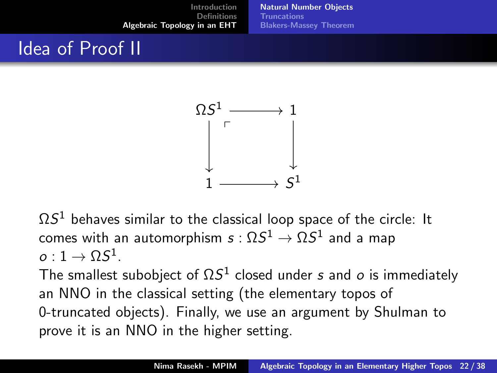[Natural Number Objects](#page-22-0) **[Truncations](#page-32-0)** [Blakers-Massey Theorem](#page-40-0)

# Idea of Proof II



 $\Omega S^1$  behaves similar to the classical loop space of the circle: It comes with an automorphism  $s:\Omega S^1\to \Omega S^1$  and a map  $o:1\to \Omega S^1.$ 

The smallest subobject of  $\Omega S^1$  closed under s and  $o$  is immediately an NNO in the classical setting (the elementary topos of 0-truncated objects). Finally, we use an argument by Shulman to prove it is an NNO in the higher setting.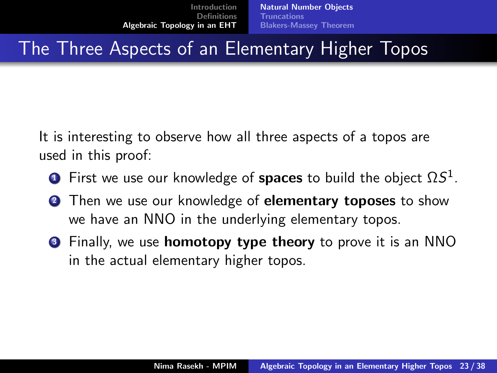## The Three Aspects of an Elementary Higher Topos

It is interesting to observe how all three aspects of a topos are used in this proof:

- $\bullet$  First we use our knowledge of  ${\rm spaces}$  to build the object  $\Omega S^1.$
- **2** Then we use our knowledge of **elementary toposes** to show we have an NNO in the underlying elementary topos.
- **3** Finally, we use **homotopy type theory** to prove it is an NNO in the actual elementary higher topos.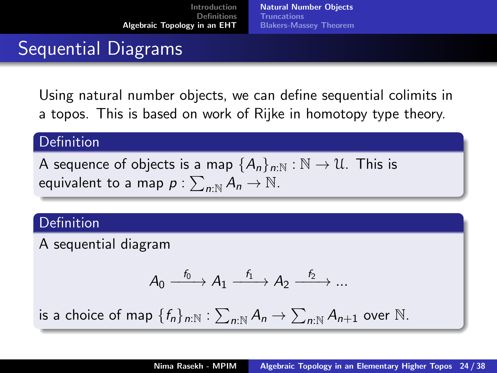# Sequential Diagrams

Using natural number objects, we can define sequential colimits in a topos. This is based on work of Rijke in homotopy type theory.

### **Definition**

A sequence of objects is a map  ${A_n}_{n\cdot N}:N\to U$ . This is equivalent to a map  $\rho: \sum_{n: \mathbb{N}} A_n \to \mathbb{N}$ .

### **Definition**

A sequential diagram

$$
A_0 \xrightarrow{f_0} A_1 \xrightarrow{f_1} A_2 \xrightarrow{f_2} \dots
$$

is a choice of map  $\{f_n\}_{n:\mathbb{N}}: \sum_{n:\mathbb{N}} A_n \rightarrow \sum_{n:\mathbb{N}} A_{n+1}$  over  $\mathbb{N}.$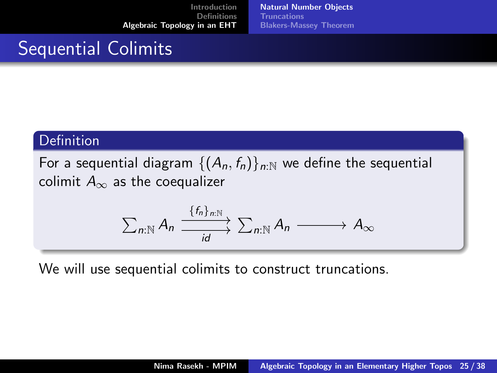[Natural Number Objects](#page-22-0) [Truncations](#page-32-0) [Blakers-Massey Theorem](#page-40-0)

## Sequential Colimits

#### Definition

For a sequential diagram  $\{(A_n, f_n)\}_{n\in\mathbb{N}}$  we define the sequential colimit  $A_{\infty}$  as the coequalizer

$$
\sum_{n:\mathbb{N}}A_n \xrightarrow{\{f_n\}_{n:\mathbb{N}}}\sum_{n:\mathbb{N}}A_n \longrightarrow A_{\infty}
$$

We will use sequential colimits to construct truncations.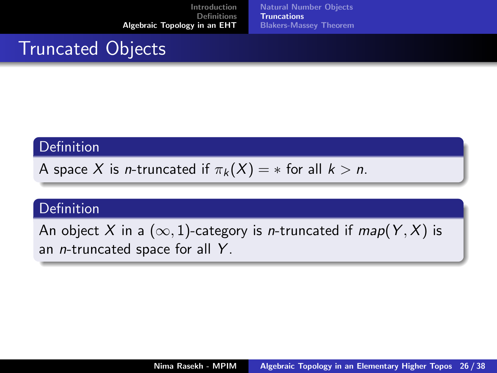[Natural Number Objects](#page-22-0) [Truncations](#page-32-0) [Blakers-Massey Theorem](#page-40-0)

## <span id="page-32-0"></span>Truncated Objects

### **Definition**

A space X is *n*-truncated if  $\pi_k(X) = *$  for all  $k > n$ .

### **Definition**

An object X in a  $(\infty, 1)$ -category is *n*-truncated if  $map(Y, X)$  is an *n*-truncated space for all Y.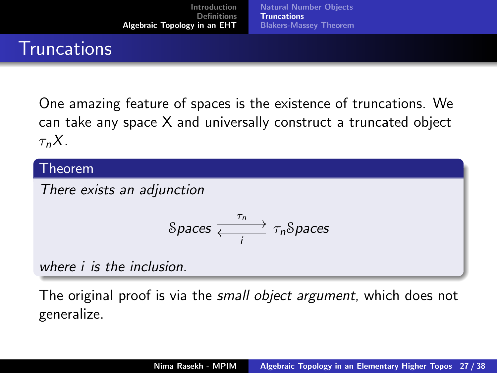## **Truncations**

One amazing feature of spaces is the existence of truncations. We can take any space X and universally construct a truncated object  $\tau_n X$ .

#### Theorem

There exists an adjunction

$$
\text{Spaces} \xrightarrow[\text{I}]{\tau_n} \tau_n \text{Spaces}
$$

where i is the inclusion.

The original proof is via the *small object argument*, which does not generalize.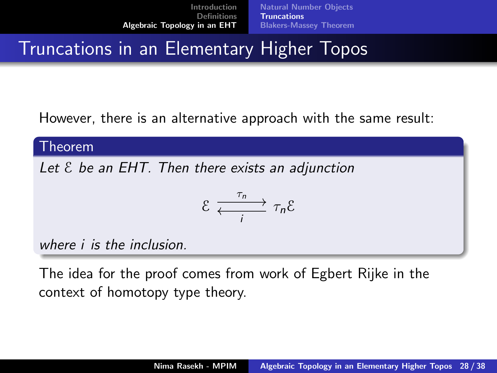## **Truncations in an Elementary Higher Topos**

However, there is an alternative approach with the same result:

#### Theorem

Let  $\epsilon$  be an EHT. Then there exists an adjunction

$$
\mathcal{E} \xrightarrow[i]{\tau_n} \tau_n \mathcal{E}
$$

where i is the inclusion.

The idea for the proof comes from work of Egbert Rijke in the context of homotopy type theory.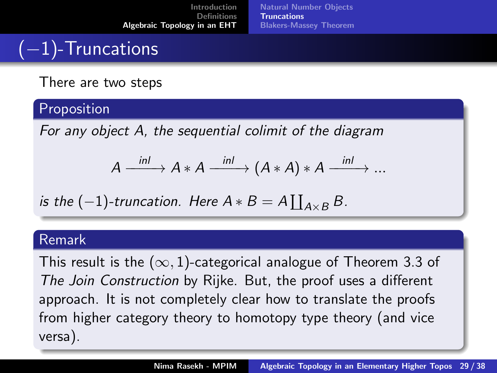# (−1)-Truncations

There are two steps

### Proposition

For any object A, the sequential colimit of the diagram

$$
A \xrightarrow{\text{inl}} A*A \xrightarrow{\text{inl}} (A*A)*A \xrightarrow{\text{inl}} ...
$$

is the 
$$
(-1)
$$
-truncation. Here  $A * B = A \coprod_{A \times B} B$ .

#### Remark

This result is the  $(\infty, 1)$ -categorical analogue of Theorem 3.3 of The Join Construction by Rijke. But, the proof uses a different approach. It is not completely clear how to translate the proofs from higher category theory to homotopy type theory (and vice versa).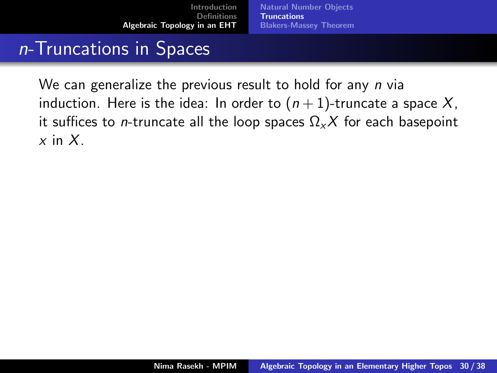## n-Truncations in Spaces

We can generalize the previous result to hold for any *n* via induction. Here is the idea: In order to  $(n + 1)$ -truncate a space X, it suffices to *n*-truncate all the loop spaces  $\Omega$ <sub>x</sub>X for each basepoint  $x$  in  $X$ .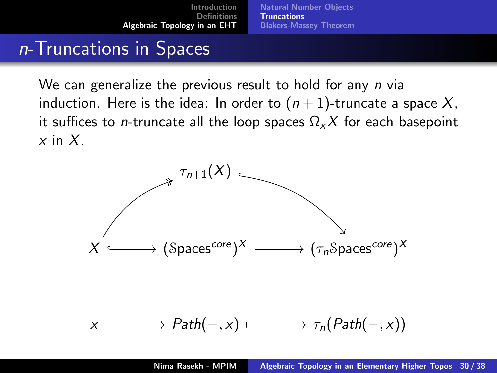## n-Truncations in Spaces

We can generalize the previous result to hold for any *n* via induction. Here is the idea: In order to  $(n + 1)$ -truncate a space X, it suffices to *n*-truncate all the loop spaces  $\Omega$ <sub>x</sub>X for each basepoint  $x$  in  $X$ .

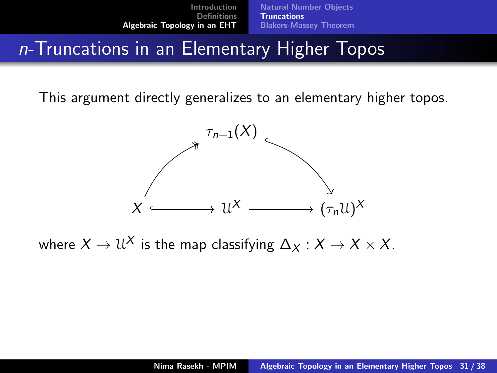## n-Truncations in an Elementary Higher Topos

This argument directly generalizes to an elementary higher topos.



where  $X \to \mathfrak{U}^X$  is the map classifying  $\Delta_X : X \to X \times X.$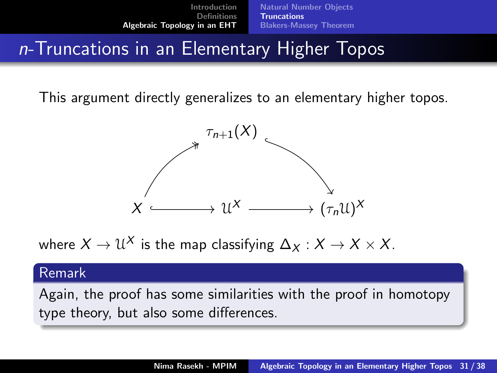## n-Truncations in an Elementary Higher Topos

This argument directly generalizes to an elementary higher topos.



where  $X \to \mathfrak{U}^X$  is the map classifying  $\Delta_X : X \to X \times X.$ 

#### Remark

Again, the proof has some similarities with the proof in homotopy type theory, but also some differences.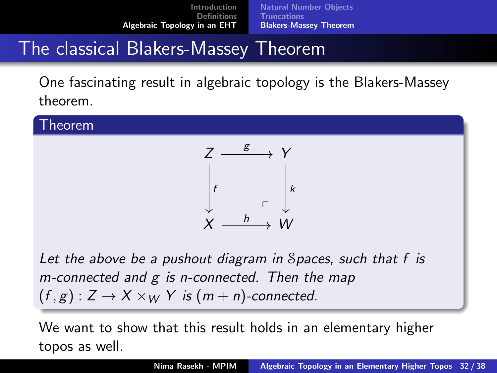# <span id="page-40-0"></span>The classical Blakers-Massey Theorem

One fascinating result in algebraic topology is the Blakers-Massey theorem.

#### Theorem



Let the above be a pushout diagram in Spaces, such that f is m-connected and g is n-connected. Then the map  $(f, g) : Z \to X \times_W Y$  is  $(m + n)$ -connected.

We want to show that this result holds in an elementary higher topos as well.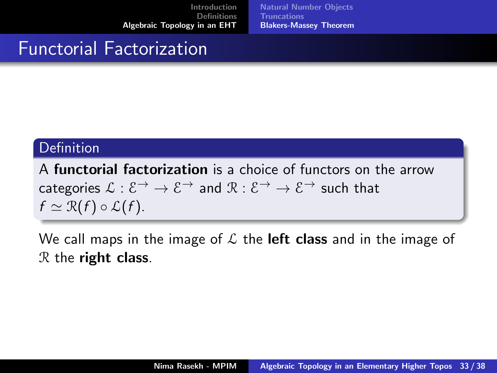[Natural Number Objects](#page-22-0) [Truncations](#page-32-0) [Blakers-Massey Theorem](#page-40-0)

## Functorial Factorization

### **Definition**

A functorial factorization is a choice of functors on the arrow categories  $\mathcal{L} : \mathcal{E} \to \mathcal{E} \to \mathcal{E}$  and  $\mathcal{R} : \mathcal{E} \to \mathcal{E} \to \mathcal{E}$  such that  $f \simeq \mathcal{R}(f) \circ \mathcal{L}(f)$ .

We call maps in the image of  $\mathcal L$  the **left class** and in the image of  $R$  the right class.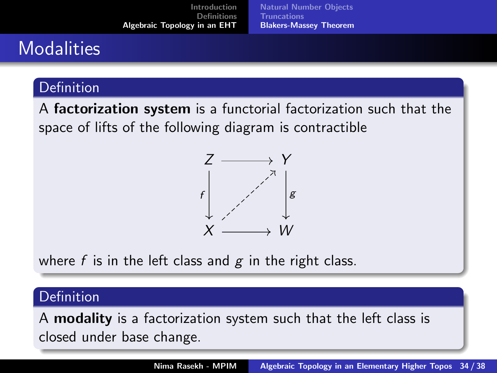[Introduction](#page-1-0) [Definitions](#page-6-0) [Algebraic Topology in an EHT](#page-21-0) [Natural Number Objects](#page-22-0) **[Truncations](#page-32-0)** [Blakers-Massey Theorem](#page-40-0)

## **Modalities**

### **Definition**

A factorization system is a functorial factorization such that the space of lifts of the following diagram is contractible



where f is in the left class and  $g$  in the right class.

### **Definition**

A modality is a factorization system such that the left class is closed under base change.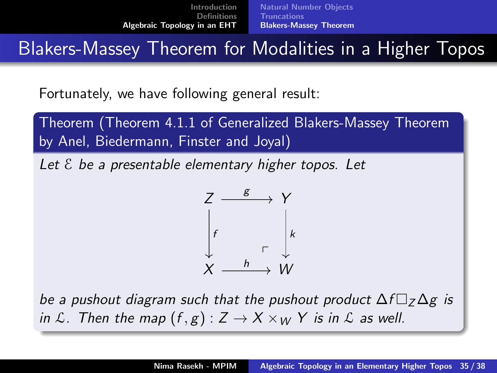Blakers-Massey Theorem for Modalities in a Higher Topos

Fortunately, we have following general result:

Theorem (Theorem 4.1.1 of Generalized Blakers-Massey Theorem by Anel, Biedermann, Finster and Joyal)

Let  $\epsilon$  be a presentable elementary higher topos. Let



be a pushout diagram such that the pushout product  $\Delta f \Box$ <sub>7</sub> $\Delta g$  is in L. Then the map  $(f, g) : Z \to X \times_W Y$  is in L as well.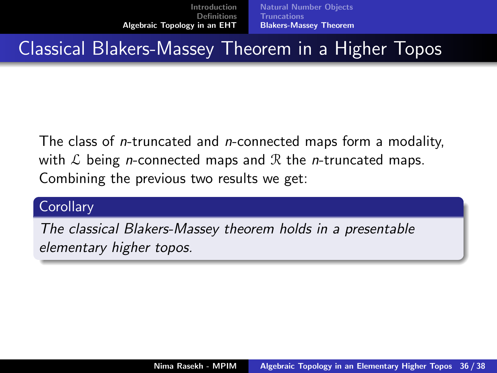## Classical Blakers-Massey Theorem in a Higher Topos

The class of *n*-truncated and *n*-connected maps form a modality, with  $\mathcal L$  being *n*-connected maps and  $\mathcal R$  the *n*-truncated maps. Combining the previous two results we get:

### **Corollary**

The classical Blakers-Massey theorem holds in a presentable elementary higher topos.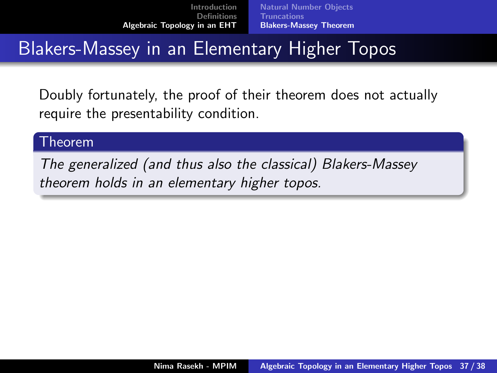## Blakers-Massey in an Elementary Higher Topos

Doubly fortunately, the proof of their theorem does not actually require the presentability condition.

#### Theorem

The generalized (and thus also the classical) Blakers-Massey theorem holds in an elementary higher topos.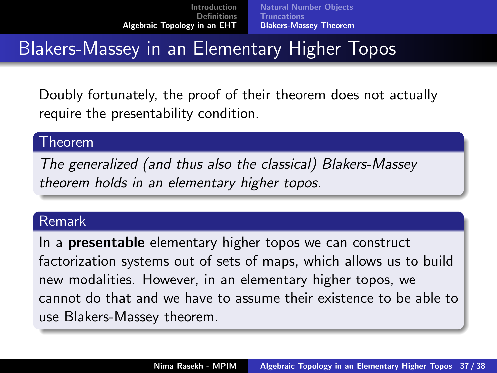## Blakers-Massey in an Elementary Higher Topos

Doubly fortunately, the proof of their theorem does not actually require the presentability condition.

#### Theorem

The generalized (and thus also the classical) Blakers-Massey theorem holds in an elementary higher topos.

#### Remark

In a **presentable** elementary higher topos we can construct factorization systems out of sets of maps, which allows us to build new modalities. However, in an elementary higher topos, we cannot do that and we have to assume their existence to be able to use Blakers-Massey theorem.